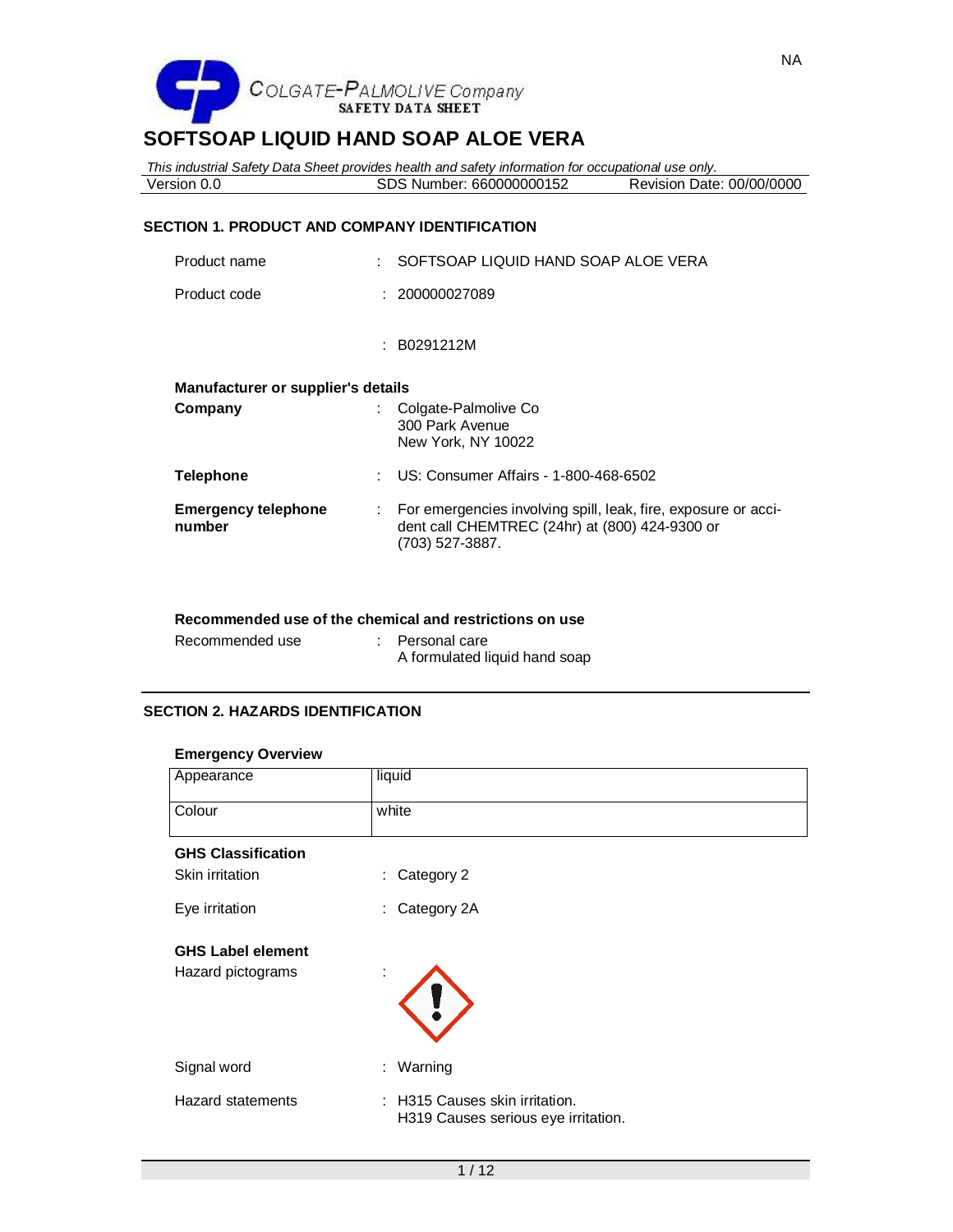

*This industrial Safety Data Sheet provides health and safety information for occupational use only.* Version 0.0 **SDS Number: 660000000152** 

### **SECTION 1. PRODUCT AND COMPANY IDENTIFICATION**

| ÷  | SOFTSOAP LIQUID HAND SOAP ALOE VERA                                                                                                 |
|----|-------------------------------------------------------------------------------------------------------------------------------------|
|    | : 200000027089                                                                                                                      |
|    | : B0291212M                                                                                                                         |
|    | Manufacturer or supplier's details                                                                                                  |
|    | Colgate-Palmolive Co<br>300 Park Avenue<br>New York, NY 10022                                                                       |
| ÷  | US: Consumer Affairs - 1-800-468-6502                                                                                               |
| ÷. | For emergencies involving spill, leak, fire, exposure or acci-<br>dent call CHEMTREC (24hr) at (800) 424-9300 or<br>(703) 527-3887. |
|    |                                                                                                                                     |

#### **Recommended use of the chemical and restrictions on use**

| Recommended use | Personal care                 |
|-----------------|-------------------------------|
|                 | A formulated liquid hand soap |

# **SECTION 2. HAZARDS IDENTIFICATION**

#### **Emergency Overview**

| Appearance                | liquid                                                                |
|---------------------------|-----------------------------------------------------------------------|
| Colour                    | white                                                                 |
| <b>GHS Classification</b> |                                                                       |
| Skin irritation           | : Category 2                                                          |
| Eye irritation            | : Category 2A                                                         |
| <b>GHS Label element</b>  |                                                                       |
| Hazard pictograms         | ٠                                                                     |
| Signal word               | : Warning                                                             |
| <b>Hazard statements</b>  | : H315 Causes skin irritation.<br>H319 Causes serious eye irritation. |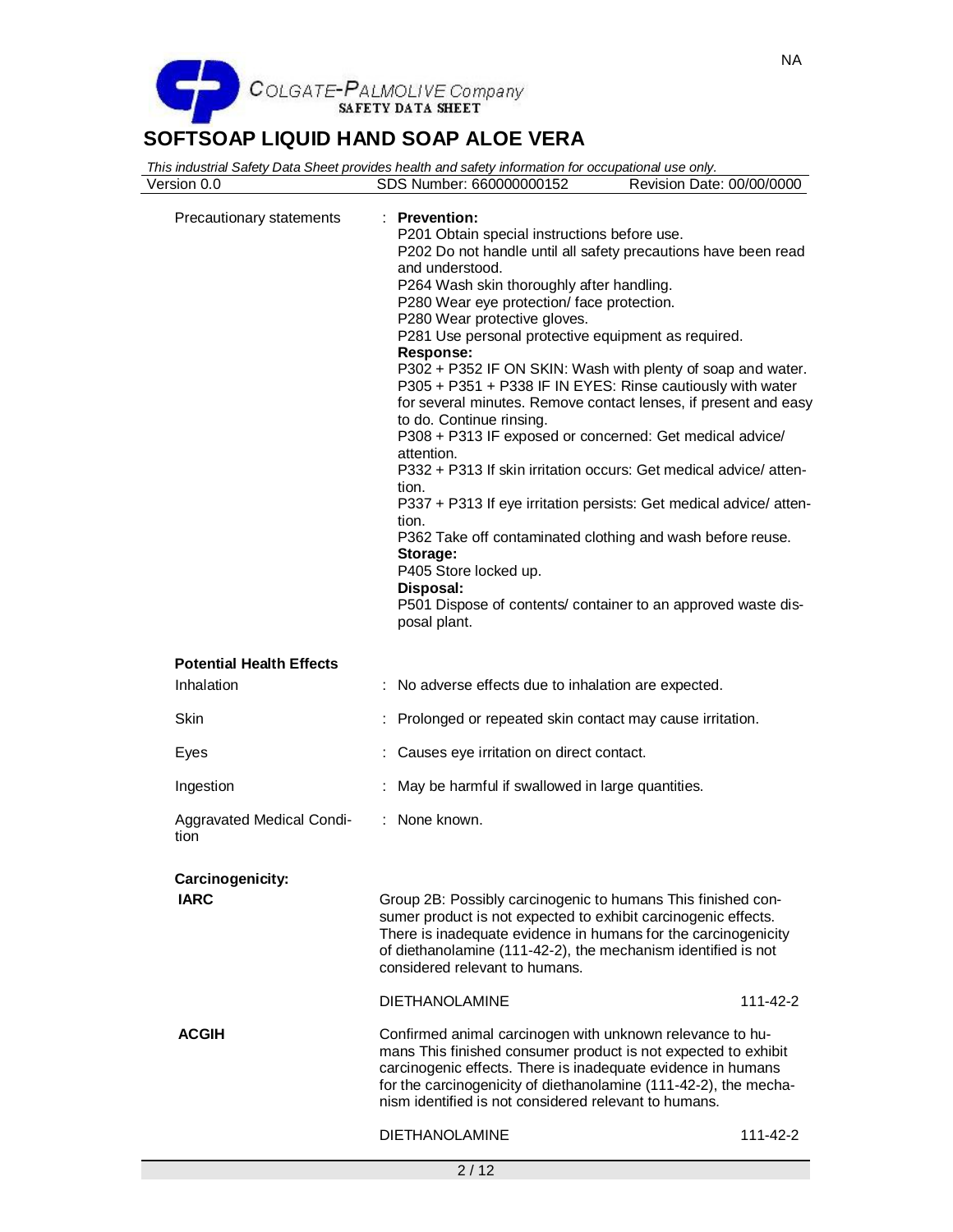

| Version 0.0                       | This industrial Safety Data Sheet provides health and safety information for occupational use only.<br>SDS Number: 660000000152                                                                                                                                                                                                                                                                                                                                                                                                                                                                                                                                                                                                                                                                                                                                                                                                                                                                                      | Revision Date: 00/00/0000 |
|-----------------------------------|----------------------------------------------------------------------------------------------------------------------------------------------------------------------------------------------------------------------------------------------------------------------------------------------------------------------------------------------------------------------------------------------------------------------------------------------------------------------------------------------------------------------------------------------------------------------------------------------------------------------------------------------------------------------------------------------------------------------------------------------------------------------------------------------------------------------------------------------------------------------------------------------------------------------------------------------------------------------------------------------------------------------|---------------------------|
|                                   |                                                                                                                                                                                                                                                                                                                                                                                                                                                                                                                                                                                                                                                                                                                                                                                                                                                                                                                                                                                                                      |                           |
| Precautionary statements          | : Prevention:<br>P201 Obtain special instructions before use.<br>P202 Do not handle until all safety precautions have been read<br>and understood.<br>P264 Wash skin thoroughly after handling.<br>P280 Wear eye protection/ face protection.<br>P280 Wear protective gloves.<br>P281 Use personal protective equipment as required.<br>Response:<br>P302 + P352 IF ON SKIN: Wash with plenty of soap and water.<br>P305 + P351 + P338 IF IN EYES: Rinse cautiously with water<br>for several minutes. Remove contact lenses, if present and easy<br>to do. Continue rinsing.<br>P308 + P313 IF exposed or concerned: Get medical advice/<br>attention.<br>P332 + P313 If skin irritation occurs: Get medical advice/atten-<br>tion.<br>P337 + P313 If eye irritation persists: Get medical advice/ atten-<br>tion.<br>P362 Take off contaminated clothing and wash before reuse.<br>Storage:<br>P405 Store locked up.<br>Disposal:<br>P501 Dispose of contents/ container to an approved waste dis-<br>posal plant. |                           |
|                                   |                                                                                                                                                                                                                                                                                                                                                                                                                                                                                                                                                                                                                                                                                                                                                                                                                                                                                                                                                                                                                      |                           |
| <b>Potential Health Effects</b>   |                                                                                                                                                                                                                                                                                                                                                                                                                                                                                                                                                                                                                                                                                                                                                                                                                                                                                                                                                                                                                      |                           |
| Inhalation                        | No adverse effects due to inhalation are expected.                                                                                                                                                                                                                                                                                                                                                                                                                                                                                                                                                                                                                                                                                                                                                                                                                                                                                                                                                                   |                           |
| Skin                              | Prolonged or repeated skin contact may cause irritation.                                                                                                                                                                                                                                                                                                                                                                                                                                                                                                                                                                                                                                                                                                                                                                                                                                                                                                                                                             |                           |
| Eyes                              | Causes eye irritation on direct contact.                                                                                                                                                                                                                                                                                                                                                                                                                                                                                                                                                                                                                                                                                                                                                                                                                                                                                                                                                                             |                           |
| Ingestion                         | May be harmful if swallowed in large quantities.                                                                                                                                                                                                                                                                                                                                                                                                                                                                                                                                                                                                                                                                                                                                                                                                                                                                                                                                                                     |                           |
| Aggravated Medical Condi-<br>tion | : None known.                                                                                                                                                                                                                                                                                                                                                                                                                                                                                                                                                                                                                                                                                                                                                                                                                                                                                                                                                                                                        |                           |
| Carcinogenicity:                  |                                                                                                                                                                                                                                                                                                                                                                                                                                                                                                                                                                                                                                                                                                                                                                                                                                                                                                                                                                                                                      |                           |
| <b>IARC</b>                       | Group 2B: Possibly carcinogenic to humans This finished con-<br>sumer product is not expected to exhibit carcinogenic effects.<br>There is inadequate evidence in humans for the carcinogenicity<br>of diethanolamine (111-42-2), the mechanism identified is not<br>considered relevant to humans.                                                                                                                                                                                                                                                                                                                                                                                                                                                                                                                                                                                                                                                                                                                  |                           |
|                                   | <b>DIETHANOLAMINE</b>                                                                                                                                                                                                                                                                                                                                                                                                                                                                                                                                                                                                                                                                                                                                                                                                                                                                                                                                                                                                | 111-42-2                  |
| <b>ACGIH</b>                      | Confirmed animal carcinogen with unknown relevance to hu-<br>mans This finished consumer product is not expected to exhibit<br>carcinogenic effects. There is inadequate evidence in humans<br>for the carcinogenicity of diethanolamine (111-42-2), the mecha-<br>nism identified is not considered relevant to humans.                                                                                                                                                                                                                                                                                                                                                                                                                                                                                                                                                                                                                                                                                             |                           |
|                                   | <b>DIETHANOLAMINE</b>                                                                                                                                                                                                                                                                                                                                                                                                                                                                                                                                                                                                                                                                                                                                                                                                                                                                                                                                                                                                | 111-42-2                  |
|                                   | 2/12                                                                                                                                                                                                                                                                                                                                                                                                                                                                                                                                                                                                                                                                                                                                                                                                                                                                                                                                                                                                                 |                           |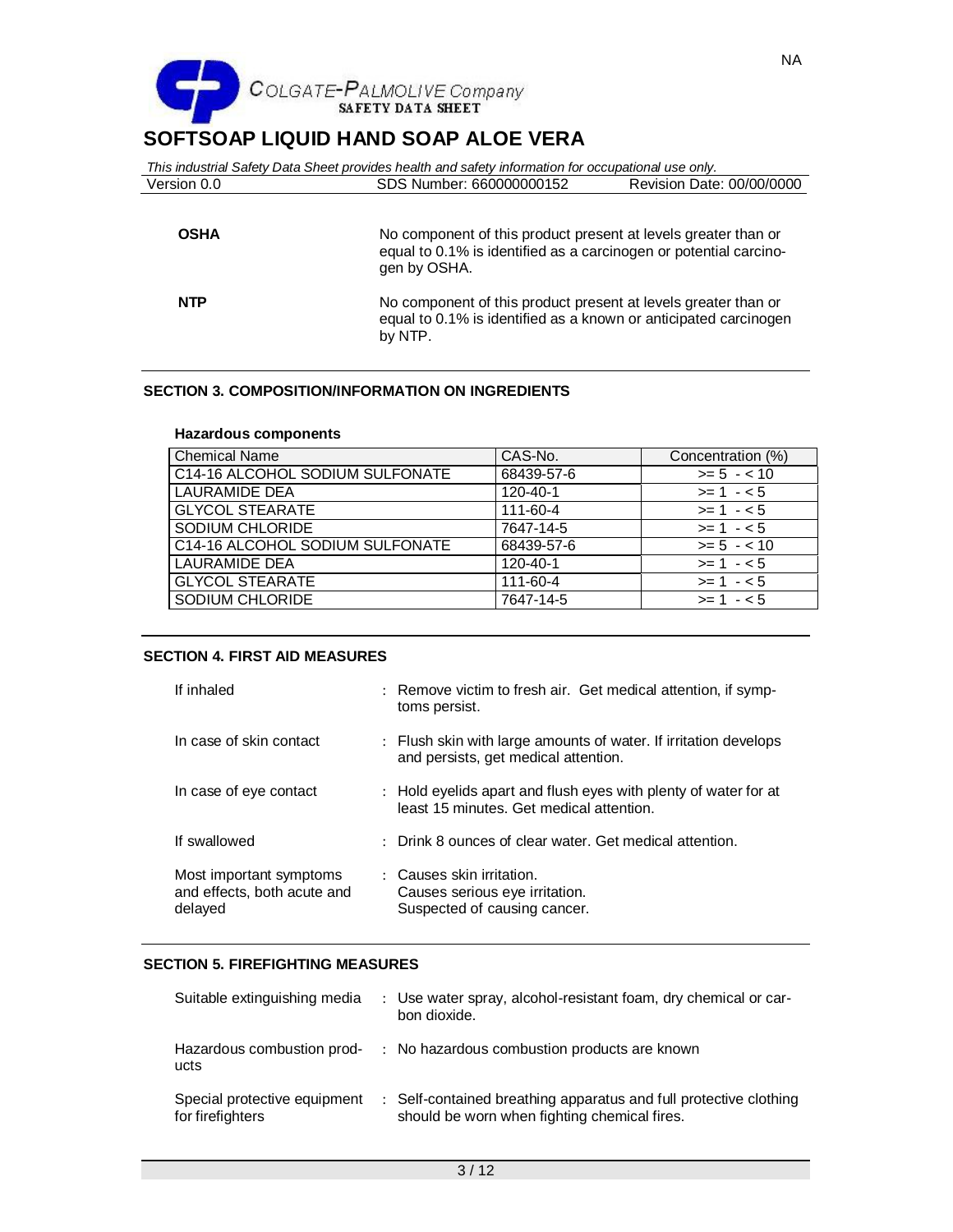

|             | This industrial Safety Data Sheet provides health and safety information for occupational use only.                                                 |                           |
|-------------|-----------------------------------------------------------------------------------------------------------------------------------------------------|---------------------------|
| Version 0.0 | SDS Number: 660000000152                                                                                                                            | Revision Date: 00/00/0000 |
| <b>OSHA</b> | No component of this product present at levels greater than or<br>equal to 0.1% is identified as a carcinogen or potential carcino-<br>gen by OSHA. |                           |
| <b>NTP</b>  | No component of this product present at levels greater than or<br>equal to 0.1% is identified as a known or anticipated carcinogen<br>by NTP.       |                           |

# **SECTION 3. COMPOSITION/INFORMATION ON INGREDIENTS**

#### **Hazardous components**

| <b>Chemical Name</b>            | CAS-No.    | Concentration (%) |
|---------------------------------|------------|-------------------|
| C14-16 ALCOHOL SODIUM SULFONATE | 68439-57-6 | $>= 5 - < 10$     |
| LAURAMIDE DEA                   | 120-40-1   | $>= 1 - 5$        |
| <b>GLYCOL STEARATE</b>          | 111-60-4   | $>= 1 - 5$        |
| SODIUM CHLORIDE                 | 7647-14-5  | $>= 1 - 5$        |
| C14-16 ALCOHOL SODIUM SULFONATE | 68439-57-6 | $>= 5 - < 10$     |
| LAURAMIDE DEA                   | 120-40-1   | $>= 1 - 5$        |
| <b>GLYCOL STEARATE</b>          | 111-60-4   | $>= 1 - 5$        |
| SODIUM CHLORIDE                 | 7647-14-5  | $>= 1 - 5$        |

## **SECTION 4. FIRST AID MEASURES**

| If inhaled                                                        | : Remove victim to fresh air. Get medical attention, if symp-<br>toms persist.                              |
|-------------------------------------------------------------------|-------------------------------------------------------------------------------------------------------------|
| In case of skin contact                                           | : Flush skin with large amounts of water. If irritation develops<br>and persists, get medical attention.    |
| In case of eye contact                                            | : Hold eyelids apart and flush eyes with plenty of water for at<br>least 15 minutes. Get medical attention. |
| If swallowed                                                      | : Drink 8 ounces of clear water. Get medical attention.                                                     |
| Most important symptoms<br>and effects, both acute and<br>delayed | : Causes skin irritation.<br>Causes serious eye irritation.<br>Suspected of causing cancer.                 |

#### **SECTION 5. FIREFIGHTING MEASURES**

| Suitable extinguishing media                     | : Use water spray, alcohol-resistant foam, dry chemical or car-<br>bon dioxide.                                   |
|--------------------------------------------------|-------------------------------------------------------------------------------------------------------------------|
| Hazardous combustion prod-<br>ucts               | : No hazardous combustion products are known                                                                      |
| Special protective equipment<br>for firefighters | : Self-contained breathing apparatus and full protective clothing<br>should be worn when fighting chemical fires. |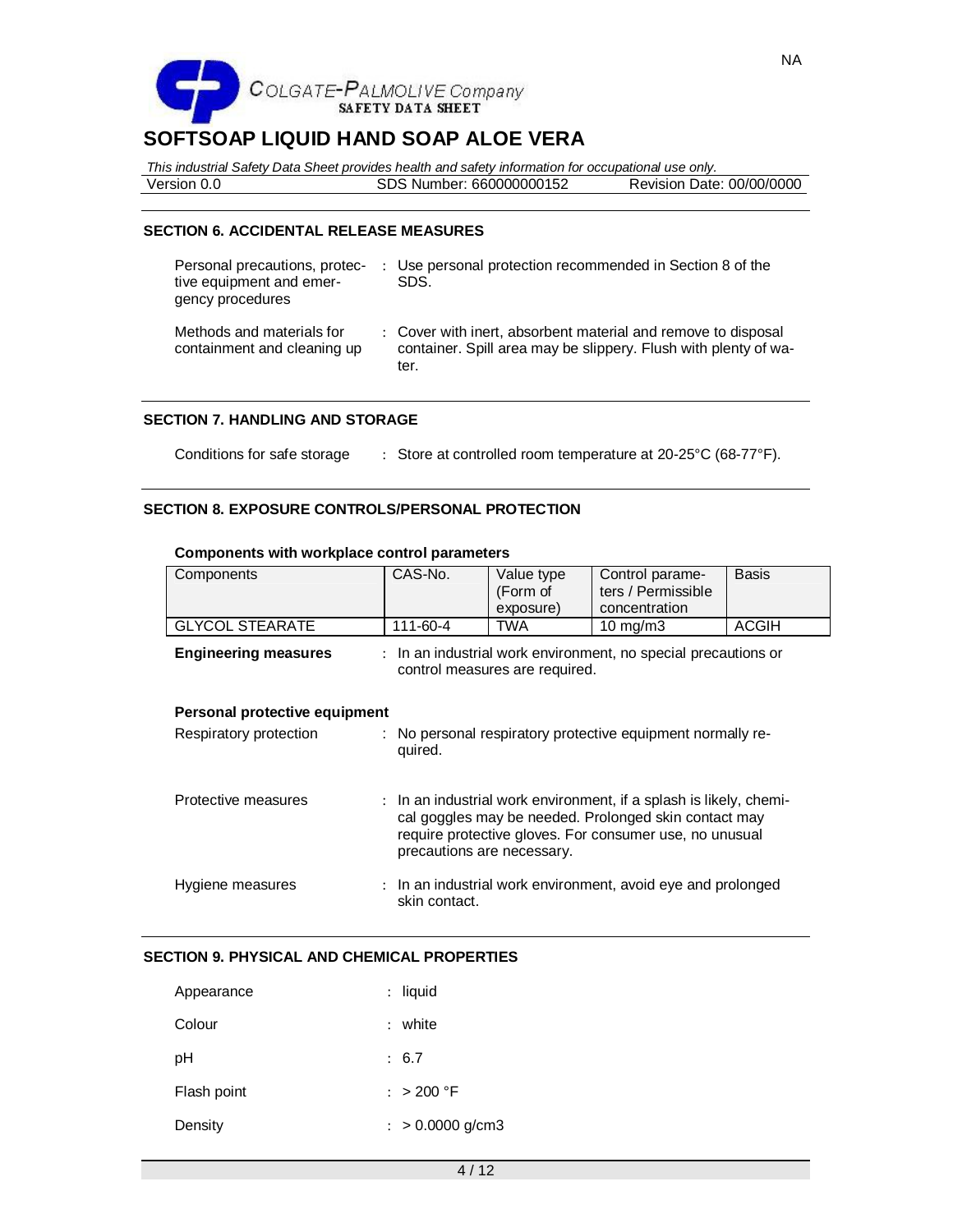

*This industrial Safety Data Sheet provides health and safety information for occupational use only.* Version 0.0 SDS Number: 660000000152 Revision Date: 00/00/0000

**SECTION 6. ACCIDENTAL RELEASE MEASURES**

| Personal precautions, protec-<br>tive equipment and emer-<br>gency procedures | : Use personal protection recommended in Section 8 of the<br>SDS.                                                                        |
|-------------------------------------------------------------------------------|------------------------------------------------------------------------------------------------------------------------------------------|
| Methods and materials for<br>containment and cleaning up                      | : Cover with inert, absorbent material and remove to disposal<br>container. Spill area may be slippery. Flush with plenty of wa-<br>ter. |

### **SECTION 7. HANDLING AND STORAGE**

Conditions for safe storage : Store at controlled room temperature at 20-25°C (68-77°F).

# **SECTION 8. EXPOSURE CONTROLS/PERSONAL PROTECTION**

| Components                    | CAS-No.       | Value type<br>(Form of<br>exposure)                                                                                                                                                                                  | Control parame-<br>ters / Permissible<br>concentration         | <b>Basis</b> |
|-------------------------------|---------------|----------------------------------------------------------------------------------------------------------------------------------------------------------------------------------------------------------------------|----------------------------------------------------------------|--------------|
| <b>GLYCOL STEARATE</b>        | 111-60-4      | TWA                                                                                                                                                                                                                  | 10 $mg/m3$                                                     | <b>ACGIH</b> |
| <b>Engineering measures</b>   |               | control measures are required.                                                                                                                                                                                       | : In an industrial work environment, no special precautions or |              |
| Personal protective equipment |               |                                                                                                                                                                                                                      |                                                                |              |
| Respiratory protection        | quired.       |                                                                                                                                                                                                                      | : No personal respiratory protective equipment normally re-    |              |
| Protective measures           |               | : In an industrial work environment, if a splash is likely, chemi-<br>cal goggles may be needed. Prolonged skin contact may<br>require protective gloves. For consumer use, no unusual<br>precautions are necessary. |                                                                |              |
| Hygiene measures              | skin contact. |                                                                                                                                                                                                                      | : In an industrial work environment, avoid eye and prolonged   |              |

### **Components with workplace control parameters**

# **SECTION 9. PHYSICAL AND CHEMICAL PROPERTIES**

| Appearance  | : liquid           |
|-------------|--------------------|
| Colour      | : white            |
| рH          | : 6.7              |
| Flash point | : $> 200 °F$       |
| Density     | $: > 0.0000$ g/cm3 |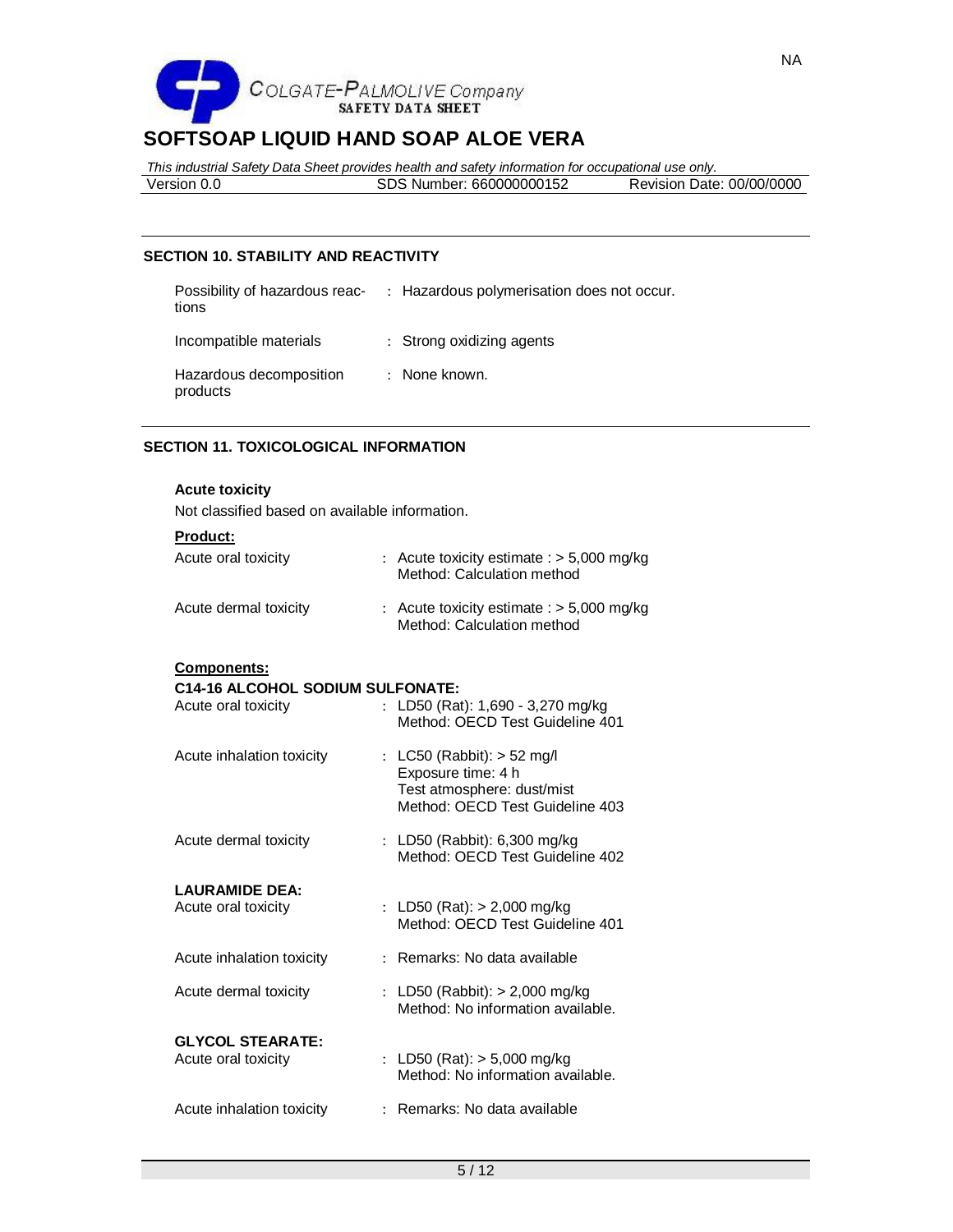

*This industrial Safety Data Sheet provides health and safety information for occupational use only.*

| Version 0.0 | Number: 660000000152<br>בשכ | Revision Date: 00/00/0000 |
|-------------|-----------------------------|---------------------------|
|             |                             |                           |

# **SECTION 10. STABILITY AND REACTIVITY**

| Possibility of hazardous reac-<br>tions | : Hazardous polymerisation does not occur. |
|-----------------------------------------|--------------------------------------------|
| Incompatible materials                  | : Strong oxidizing agents                  |
| Hazardous decomposition<br>products     | : None known.                              |

# **SECTION 11. TOXICOLOGICAL INFORMATION**

### **Acute toxicity**

Not classified based on available information.

| Product:                                |                                                                           |
|-----------------------------------------|---------------------------------------------------------------------------|
| Acute oral toxicity                     | : Acute toxicity estimate : $> 5,000$ mg/kg<br>Method: Calculation method |
| Acute dermal toxicity                   | : Acute toxicity estimate : $> 5,000$ mg/kg<br>Method: Calculation method |
| <b>Components:</b>                      |                                                                           |
| <b>C14-16 ALCOHOL SODIUM SULFONATE:</b> |                                                                           |
| Acute oral toxicity                     | : LD50 (Rat): $1,690 - 3,270$ mg/kg<br>Method: OECD Test Guideline 401    |
| Acute inhalation toxicity               | : LC50 (Rabbit): $>$ 52 mg/l                                              |
|                                         | Exposure time: 4 h                                                        |
|                                         | Test atmosphere: dust/mist<br>Method: OECD Test Guideline 403             |
|                                         |                                                                           |
| Acute dermal toxicity                   | : LD50 (Rabbit): 6,300 mg/kg                                              |
|                                         | Method: OECD Test Guideline 402                                           |
| <b>LAURAMIDE DEA:</b>                   |                                                                           |
| Acute oral toxicity                     | : LD50 (Rat): $> 2,000$ mg/kg                                             |
|                                         | Method: OECD Test Guideline 401                                           |
| Acute inhalation toxicity               | : Remarks: No data available                                              |
| Acute dermal toxicity                   | : LD50 (Rabbit): $> 2,000$ mg/kg                                          |
|                                         | Method: No information available.                                         |
| <b>GLYCOL STEARATE:</b>                 |                                                                           |
| Acute oral toxicity                     | : LD50 (Rat): $>$ 5,000 mg/kg                                             |
|                                         | Method: No information available.                                         |
| Acute inhalation toxicity               | : Remarks: No data available                                              |
|                                         |                                                                           |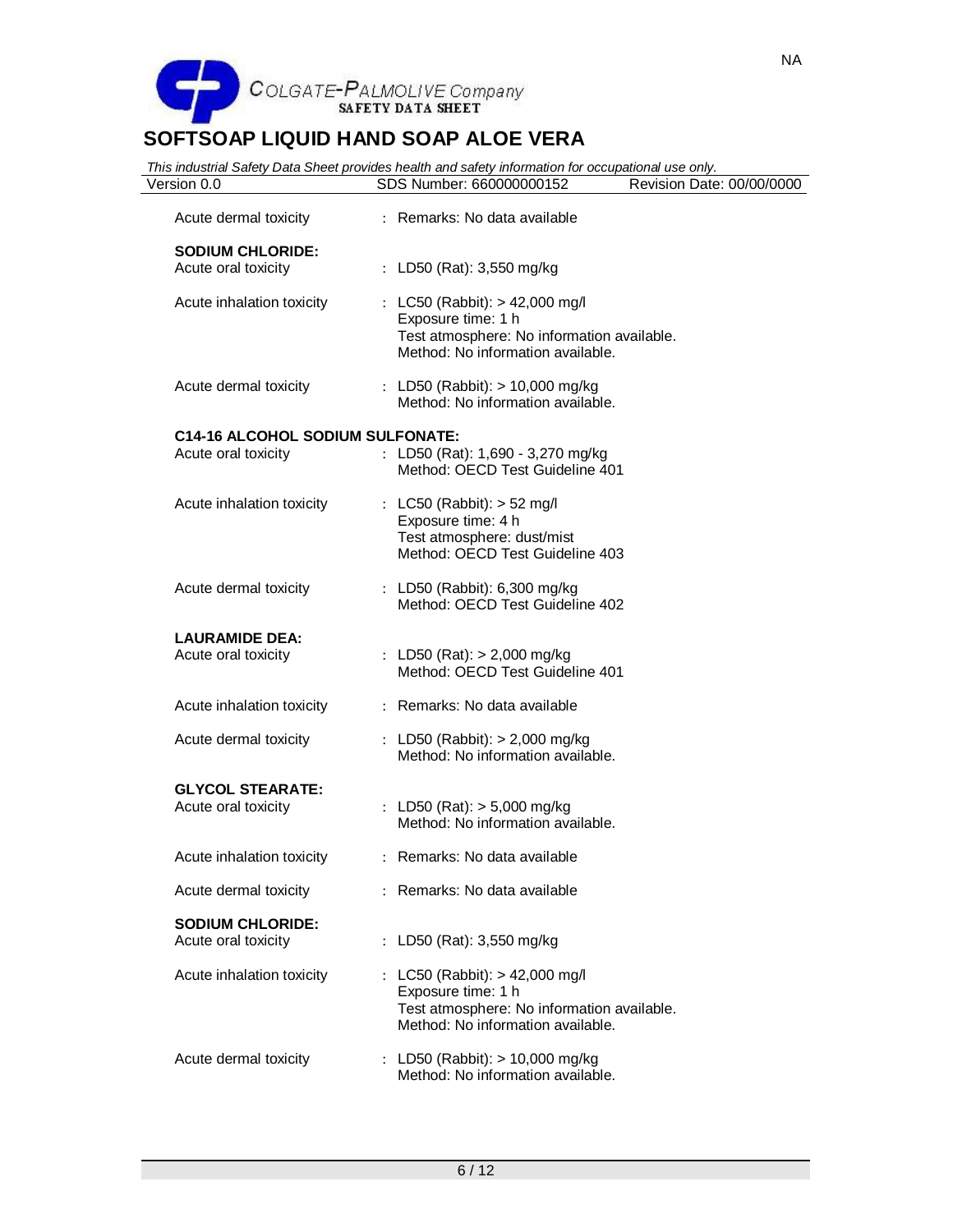

| Version 0.0                                    | This industrial Safety Data Sheet provides health and safety information for occupational use only.<br>SDS Number: 660000000152         | Revision Date: 00/00/0000 |
|------------------------------------------------|-----------------------------------------------------------------------------------------------------------------------------------------|---------------------------|
| Acute dermal toxicity                          | : Remarks: No data available                                                                                                            |                           |
| <b>SODIUM CHLORIDE:</b><br>Acute oral toxicity | : LD50 (Rat): 3,550 mg/kg                                                                                                               |                           |
| Acute inhalation toxicity                      | : LC50 (Rabbit): > 42,000 mg/l<br>Exposure time: 1 h<br>Test atmosphere: No information available.<br>Method: No information available. |                           |
| Acute dermal toxicity                          | : LD50 (Rabbit): $> 10,000$ mg/kg<br>Method: No information available.                                                                  |                           |
| <b>C14-16 ALCOHOL SODIUM SULFONATE:</b>        |                                                                                                                                         |                           |
| Acute oral toxicity                            | : LD50 (Rat): $1,690 - 3,270$ mg/kg<br>Method: OECD Test Guideline 401                                                                  |                           |
| Acute inhalation toxicity                      | : LC50 (Rabbit): $>$ 52 mg/l<br>Exposure time: 4 h<br>Test atmosphere: dust/mist<br>Method: OECD Test Guideline 403                     |                           |
| Acute dermal toxicity                          | : LD50 (Rabbit): 6,300 mg/kg<br>Method: OECD Test Guideline 402                                                                         |                           |
| <b>LAURAMIDE DEA:</b><br>Acute oral toxicity   | : LD50 (Rat): $> 2,000$ mg/kg<br>Method: OECD Test Guideline 401                                                                        |                           |
| Acute inhalation toxicity                      | : Remarks: No data available                                                                                                            |                           |
| Acute dermal toxicity                          | : LD50 (Rabbit): $> 2,000$ mg/kg<br>Method: No information available.                                                                   |                           |
| <b>GLYCOL STEARATE:</b><br>Acute oral toxicity | : LD50 (Rat): $> 5,000$ mg/kg<br>Method: No information available.                                                                      |                           |
| Acute inhalation toxicity                      | : Remarks: No data available                                                                                                            |                           |
| Acute dermal toxicity                          | : Remarks: No data available                                                                                                            |                           |
| <b>SODIUM CHLORIDE:</b><br>Acute oral toxicity | : LD50 (Rat): 3,550 mg/kg                                                                                                               |                           |
| Acute inhalation toxicity                      | : LC50 (Rabbit): > 42,000 mg/l<br>Exposure time: 1 h<br>Test atmosphere: No information available.<br>Method: No information available. |                           |
| Acute dermal toxicity                          | : LD50 (Rabbit): $> 10,000$ mg/kg<br>Method: No information available.                                                                  |                           |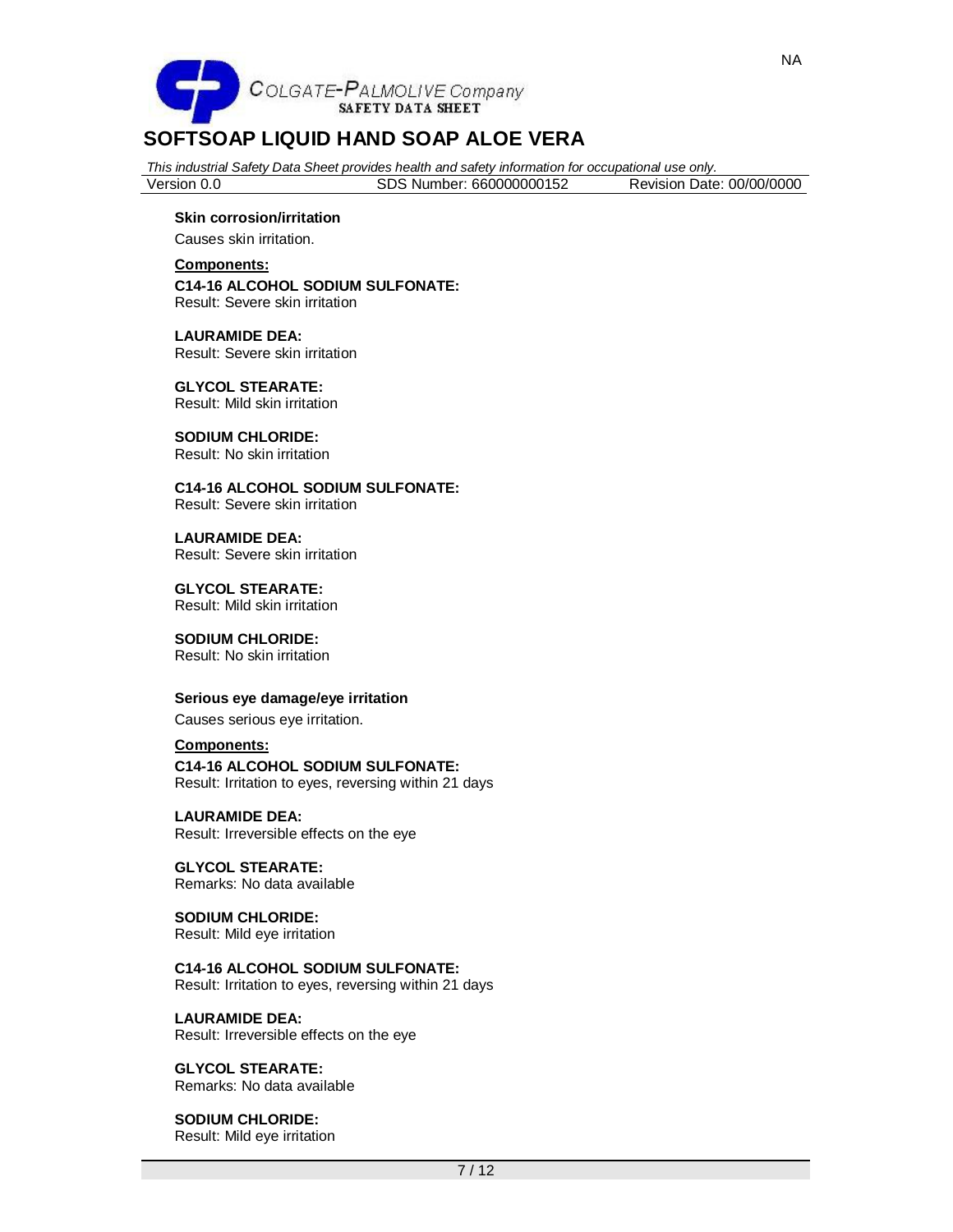

*This industrial Safety Data Sheet provides health and safety information for occupational use only.*

| Version 0.0 | SDS Number: 660000000152 | Revision Date: 00/00/0000 |  |
|-------------|--------------------------|---------------------------|--|
|             |                          |                           |  |

#### **Skin corrosion/irritation**

Causes skin irritation.

 $\overline{a}$ 

**Components: C14-16 ALCOHOL SODIUM SULFONATE:** Result: Severe skin irritation

**LAURAMIDE DEA:** Result: Severe skin irritation

**GLYCOL STEARATE:** Result: Mild skin irritation

**SODIUM CHLORIDE:** Result: No skin irritation

**C14-16 ALCOHOL SODIUM SULFONATE:** Result: Severe skin irritation

**LAURAMIDE DEA:** Result: Severe skin irritation

**GLYCOL STEARATE:** Result: Mild skin irritation

**SODIUM CHLORIDE:** Result: No skin irritation

#### **Serious eye damage/eye irritation**

Causes serious eye irritation.

# **Components:**

**C14-16 ALCOHOL SODIUM SULFONATE:**

Result: Irritation to eyes, reversing within 21 days

**LAURAMIDE DEA:** Result: Irreversible effects on the eye

**GLYCOL STEARATE:** Remarks: No data available

**SODIUM CHLORIDE:** Result: Mild eye irritation

**C14-16 ALCOHOL SODIUM SULFONATE:** Result: Irritation to eyes, reversing within 21 days

#### **LAURAMIDE DEA:**

Result: Irreversible effects on the eye

**GLYCOL STEARATE:** Remarks: No data available

**SODIUM CHLORIDE:** Result: Mild eye irritation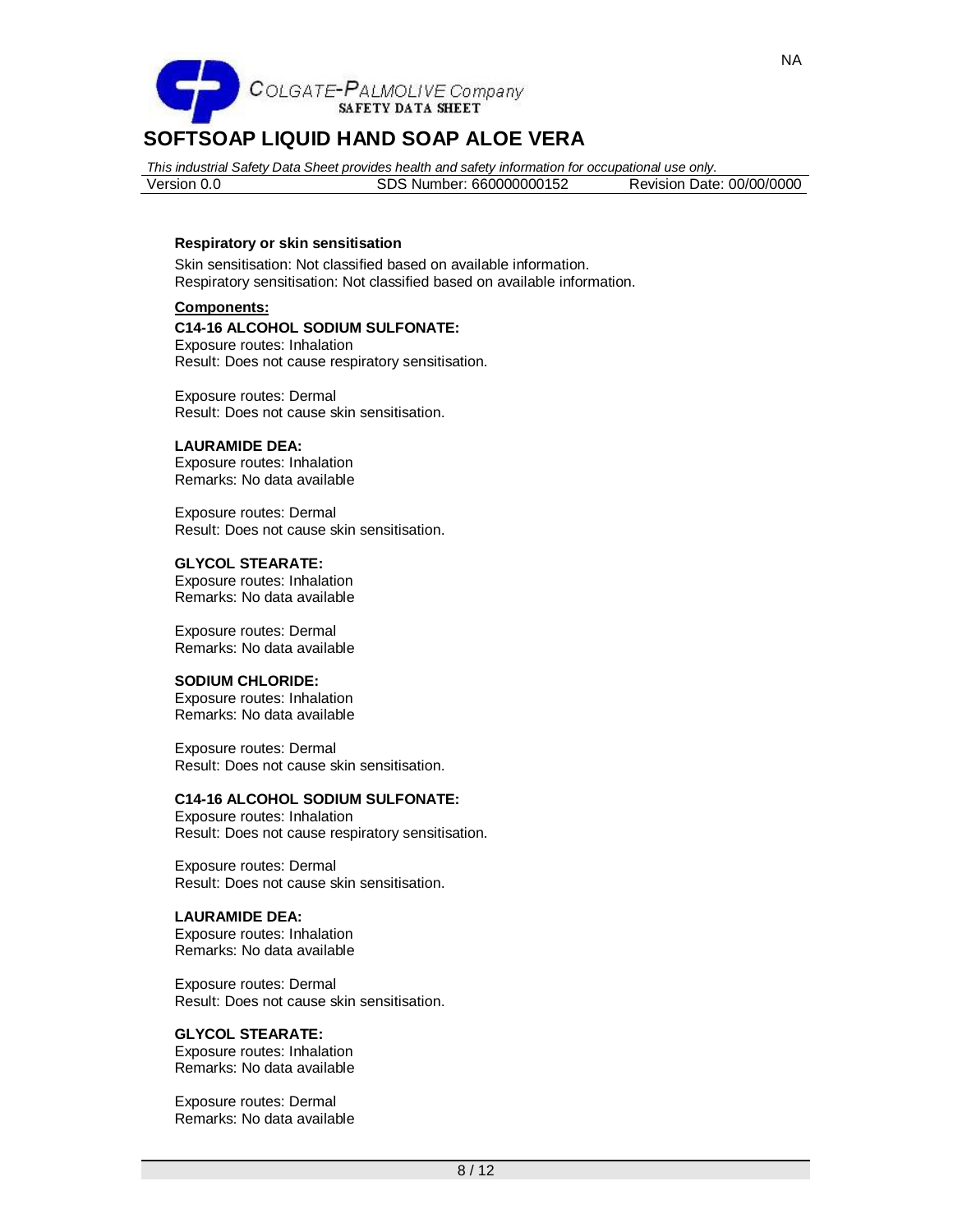

*This industrial Safety Data Sheet provides health and safety information for occupational use only.* Version 0.0 SDS Number: 660000000152 Revision Date: 00/00/0000

#### **Respiratory or skin sensitisation**

Skin sensitisation: Not classified based on available information. Respiratory sensitisation: Not classified based on available information.

### **Components:**

#### **C14-16 ALCOHOL SODIUM SULFONATE:**

Exposure routes: Inhalation Result: Does not cause respiratory sensitisation.

Exposure routes: Dermal Result: Does not cause skin sensitisation.

# **LAURAMIDE DEA:**

Exposure routes: Inhalation Remarks: No data available

Exposure routes: Dermal Result: Does not cause skin sensitisation.

#### **GLYCOL STEARATE:**

Exposure routes: Inhalation Remarks: No data available

Exposure routes: Dermal Remarks: No data available

#### **SODIUM CHLORIDE:**

Exposure routes: Inhalation Remarks: No data available

Exposure routes: Dermal Result: Does not cause skin sensitisation.

# **C14-16 ALCOHOL SODIUM SULFONATE:**

Exposure routes: Inhalation Result: Does not cause respiratory sensitisation.

Exposure routes: Dermal Result: Does not cause skin sensitisation.

### **LAURAMIDE DEA:**

Exposure routes: Inhalation Remarks: No data available

Exposure routes: Dermal Result: Does not cause skin sensitisation.

### **GLYCOL STEARATE:**

Exposure routes: Inhalation Remarks: No data available

Exposure routes: Dermal Remarks: No data available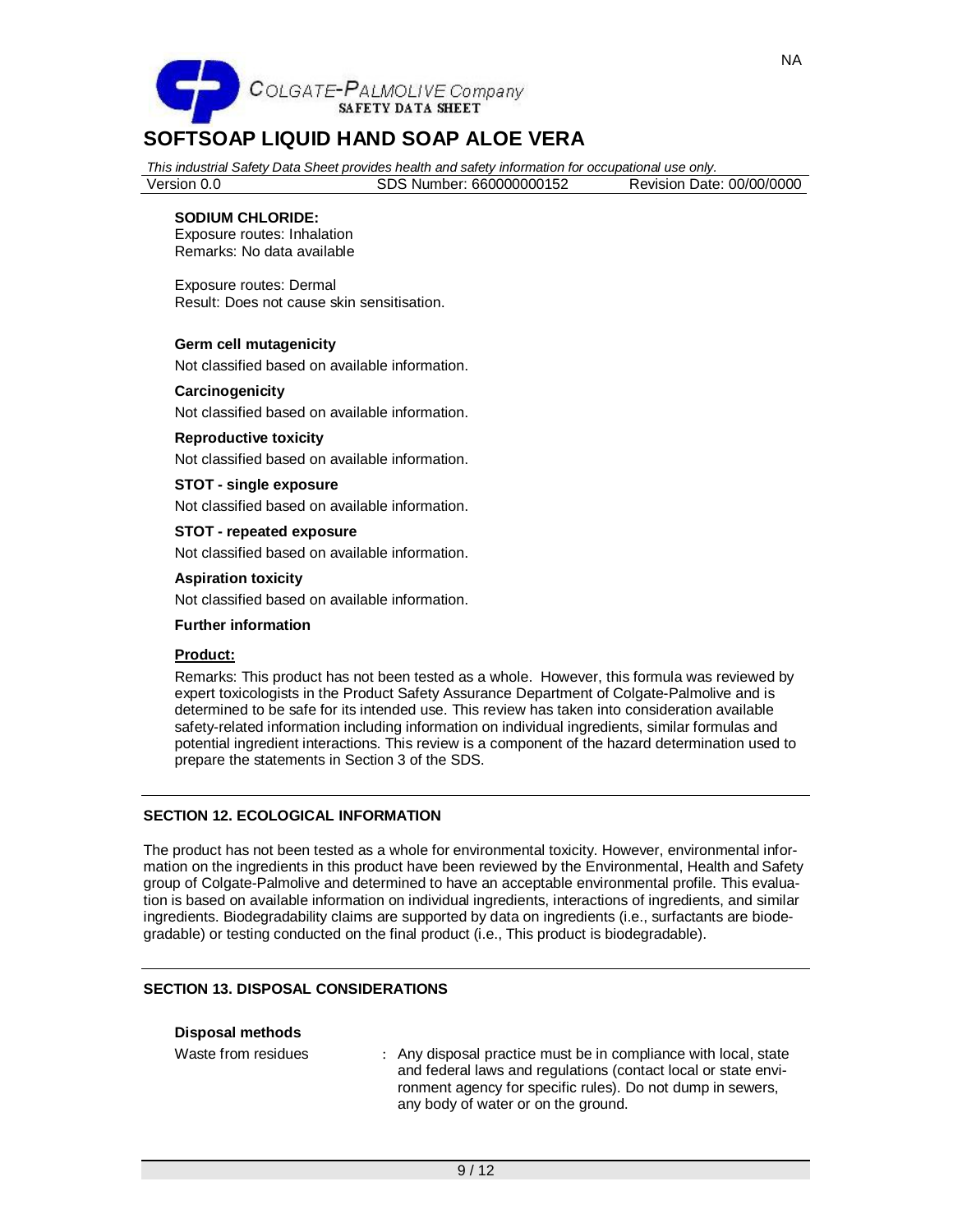

*This industrial Safety Data Sheet provides health and safety information for occupational use only.*

Version 0.0 SDS Number: 660000000152 Revision Date: 00/00/0000

## **SODIUM CHLORIDE:**

Exposure routes: Inhalation Remarks: No data available

Exposure routes: Dermal Result: Does not cause skin sensitisation.

#### **Germ cell mutagenicity**

Not classified based on available information.

#### **Carcinogenicity**

Not classified based on available information.

#### **Reproductive toxicity**

Not classified based on available information.

# **STOT - single exposure**

Not classified based on available information.

**STOT - repeated exposure**

Not classified based on available information.

#### **Aspiration toxicity**

Not classified based on available information.

# **Further information**

#### **Product:**

Remarks: This product has not been tested as a whole. However, this formula was reviewed by expert toxicologists in the Product Safety Assurance Department of Colgate-Palmolive and is determined to be safe for its intended use. This review has taken into consideration available safety-related information including information on individual ingredients, similar formulas and potential ingredient interactions. This review is a component of the hazard determination used to prepare the statements in Section 3 of the SDS.

# **SECTION 12. ECOLOGICAL INFORMATION**

The product has not been tested as a whole for environmental toxicity. However, environmental information on the ingredients in this product have been reviewed by the Environmental, Health and Safety group of Colgate-Palmolive and determined to have an acceptable environmental profile. This evaluation is based on available information on individual ingredients, interactions of ingredients, and similar ingredients. Biodegradability claims are supported by data on ingredients (i.e., surfactants are biodegradable) or testing conducted on the final product (i.e., This product is biodegradable).

#### **SECTION 13. DISPOSAL CONSIDERATIONS**

| <b>Disposal methods</b> |  |
|-------------------------|--|
|-------------------------|--|

Waste from residues : Any disposal practice must be in compliance with local, state and federal laws and regulations (contact local or state environment agency for specific rules). Do not dump in sewers,

any body of water or on the ground.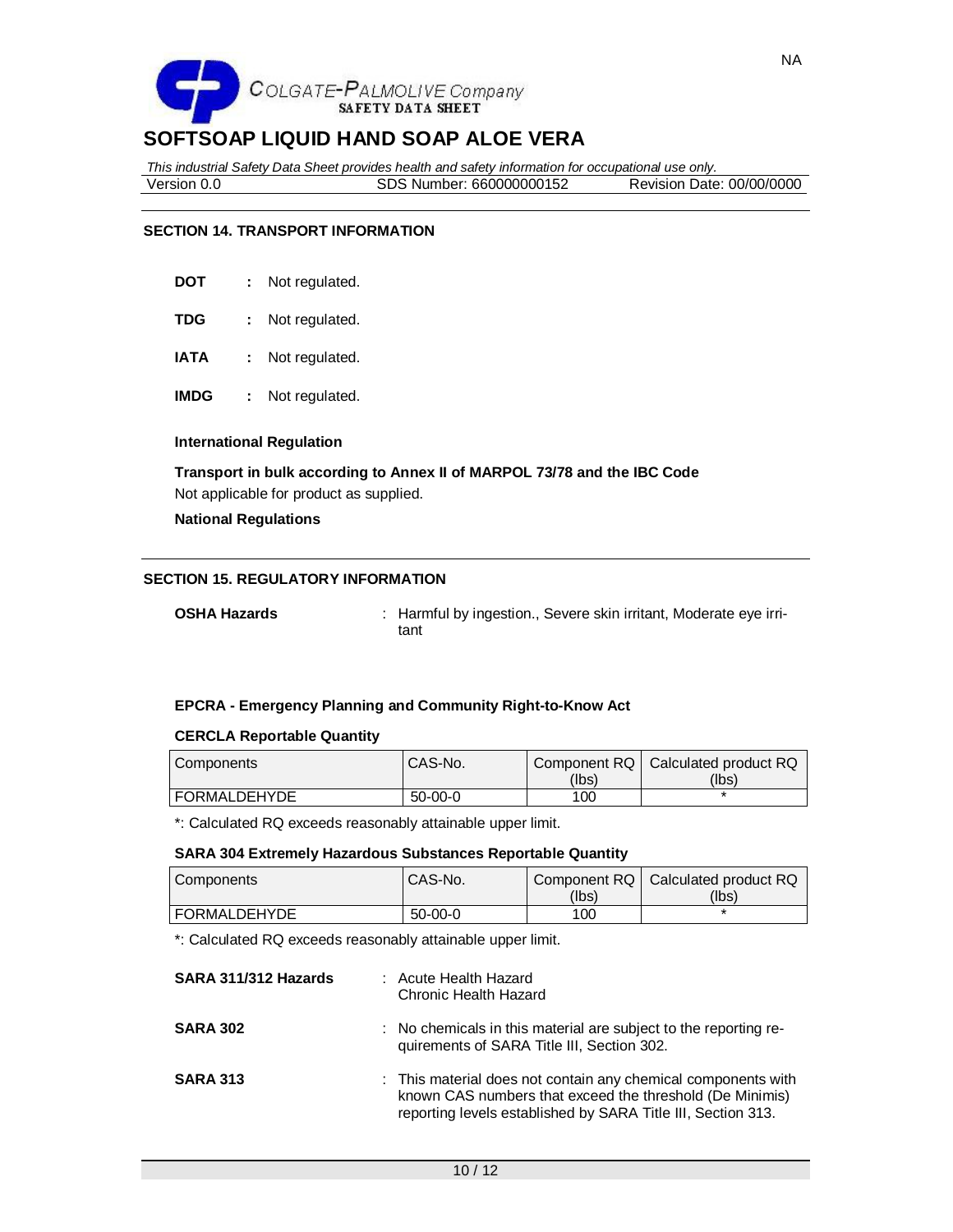

*This industrial Safety Data Sheet provides health and safety information for occupational use only.* Version 0.0 SDS Number: 660000000152 Revision Date: 00/00/0000

# **SECTION 14. TRANSPORT INFORMATION**

- **DOT :** Not regulated.
- **TDG :** Not regulated.
- **IATA :** Not regulated.
- **IMDG :** Not regulated.

#### **International Regulation**

**Transport in bulk according to Annex II of MARPOL 73/78 and the IBC Code** Not applicable for product as supplied.

**National Regulations**

#### **SECTION 15. REGULATORY INFORMATION**

**OSHA Hazards** : Harmful by ingestion., Severe skin irritant, Moderate eye irritant

#### **EPCRA - Emergency Planning and Community Right-to-Know Act**

#### **CERCLA Reportable Quantity**

| Components          | <sup>1</sup> CAS-No. |       | Component RQ   Calculated product RQ |
|---------------------|----------------------|-------|--------------------------------------|
|                     |                      | (lbs) | (lbs)                                |
| <b>FORMALDEHYDE</b> | $50-00-0$            | 100   |                                      |

\*: Calculated RQ exceeds reasonably attainable upper limit.

#### **SARA 304 Extremely Hazardous Substances Reportable Quantity**

| Components          | CAS-No.       |       | Component RQ   Calculated product RQ |
|---------------------|---------------|-------|--------------------------------------|
|                     |               | (Ibs) | (lbs)                                |
| <b>FORMALDEHYDE</b> | $50 - 00 - 0$ | 100   |                                      |

\*: Calculated RQ exceeds reasonably attainable upper limit.

| SARA 311/312 Hazards | : Acute Health Hazard<br>Chronic Health Hazard                                                                                                                                            |
|----------------------|-------------------------------------------------------------------------------------------------------------------------------------------------------------------------------------------|
| <b>SARA 302</b>      | : No chemicals in this material are subject to the reporting re-<br>quirements of SARA Title III, Section 302.                                                                            |
| <b>SARA 313</b>      | : This material does not contain any chemical components with<br>known CAS numbers that exceed the threshold (De Minimis)<br>reporting levels established by SARA Title III, Section 313. |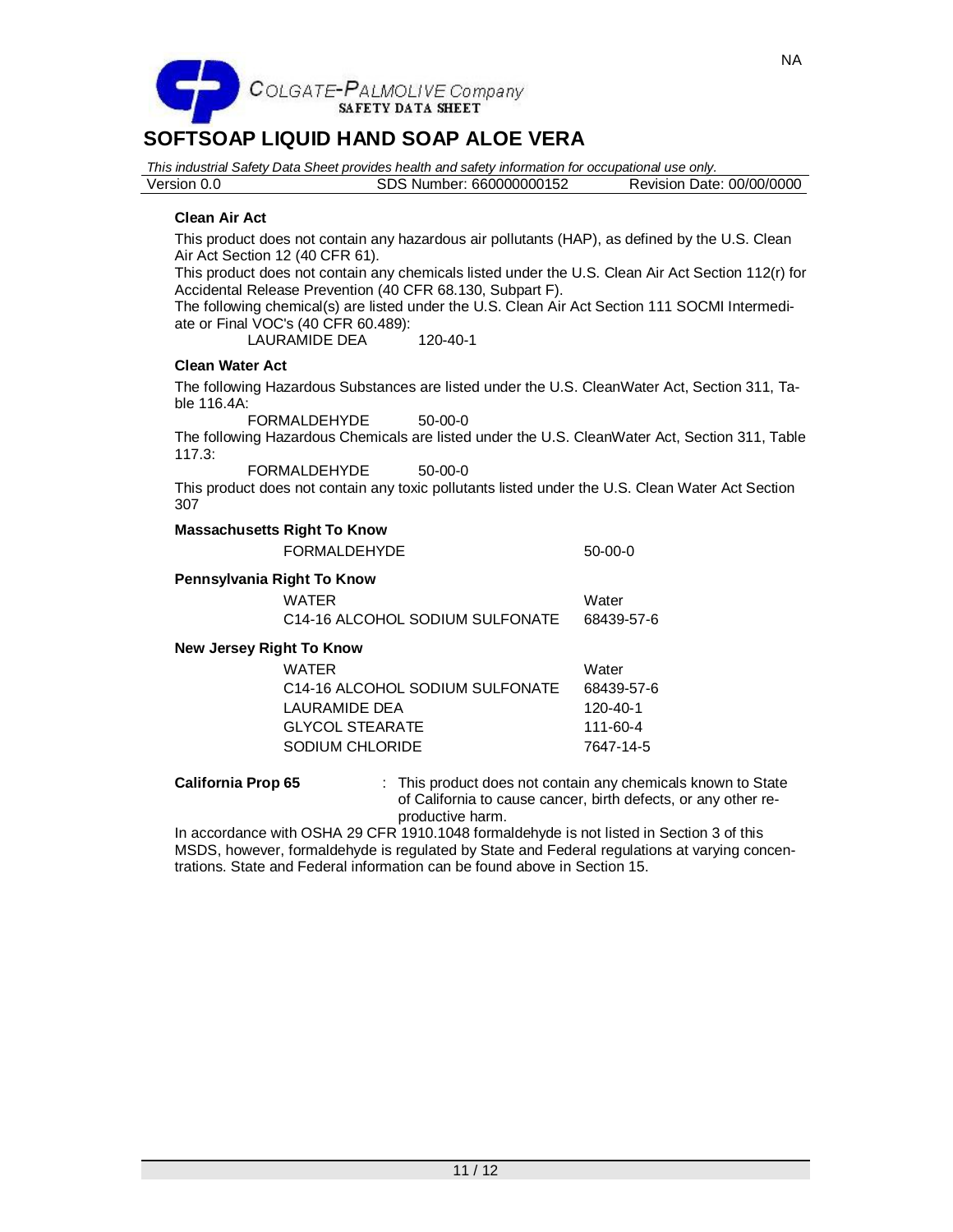

*This industrial Safety Data Sheet provides health and safety information for occupational use only.* Version 0.0 SDS Number: 660000000152 Revision Date: 00/00/0000 **Clean Air Act** This product does not contain any hazardous air pollutants (HAP), as defined by the U.S. Clean Air Act Section 12 (40 CFR 61).

This product does not contain any chemicals listed under the U.S. Clean Air Act Section 112(r) for Accidental Release Prevention (40 CFR 68.130, Subpart F).

The following chemical(s) are listed under the U.S. Clean Air Act Section 111 SOCMI Intermediate or Final VOC's (40 CFR 60.489):

LAURAMIDE DEA 120-40-1

# **Clean Water Act**

The following Hazardous Substances are listed under the U.S. CleanWater Act, Section 311, Table 116.4A:

FORMALDEHYDE 50-00-0

The following Hazardous Chemicals are listed under the U.S. CleanWater Act, Section 311, Table 117.3:

FORMALDEHYDE 50-00-0

This product does not contain any toxic pollutants listed under the U.S. Clean Water Act Section 307

# **Massachusetts Right To Know**

| FORMALDEHYDE | $50-00-0$ |
|--------------|-----------|
|--------------|-----------|

### **Pennsylvania Right To Know**

| WATER                                        | Water      |
|----------------------------------------------|------------|
| C <sub>14</sub> -16 ALCOHOL SODIUM SULFONATE | 68439-57-6 |

# **New Jersey Right To Know**

| <b>WATER</b>                                 | Water      |
|----------------------------------------------|------------|
| C <sub>14</sub> -16 ALCOHOL SODIUM SULFONATE | 68439-57-6 |
| LAURAMIDE DEA                                | 120-40-1   |
| GLYCOL STEARATE                              | 111-60-4   |
| SODIUM CHLORIDE                              | 7647-14-5  |

**California Prop 65** : This product does not contain any chemicals known to State of California to cause cancer, birth defects, or any other reproductive harm.

In accordance with OSHA 29 CFR 1910.1048 formaldehyde is not listed in Section 3 of this MSDS, however, formaldehyde is regulated by State and Federal regulations at varying concentrations. State and Federal information can be found above in Section 15.